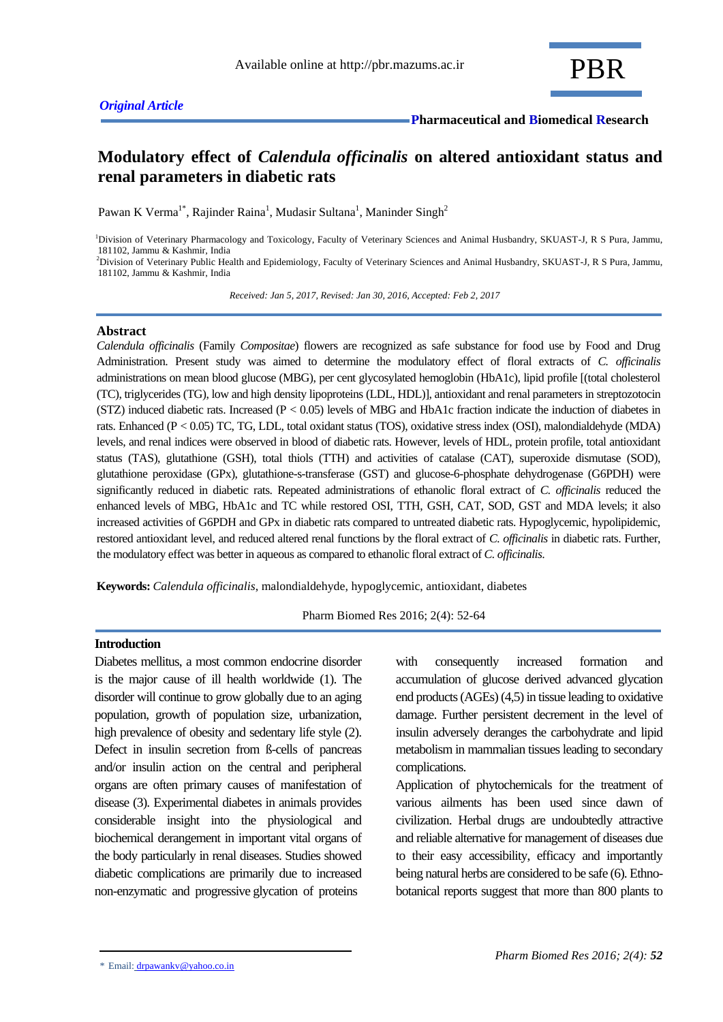## *Original Article*

# **Modulatory effect of** *Calendula officinalis* **on altered antioxidant status and renal parameters in diabetic rats**

Pawan K Verma<sup>1\*</sup>, Rajinder Raina<sup>1</sup>, Mudasir Sultana<sup>1</sup>, Maninder Singh<sup>2</sup>

<sup>1</sup>Division of Veterinary Pharmacology and Toxicology, Faculty of Veterinary Sciences and Animal Husbandry, SKUAST-J, R S Pura, Jammu, 181102, Jammu & Kashmir, India <sup>2</sup>Division of Veterinary Public Health and Epidemiology, Faculty of Veterinary Sciences and Animal Husbandry, SKUAST-J, R S Pura, Jammu,

181102, Jammu & Kashmir, India

 *Received: Jan 5, 2017, Revised: Jan 30, 2016, Accepted: Feb 2, 2017*

### **Abstract**

*Calendula officinalis* (Family *Compositae*) flowers are recognized as safe substance for food use by Food and Drug Administration. Present study was aimed to determine the modulatory effect of floral extracts of *C. officinalis* administrations on mean blood glucose (MBG), per cent glycosylated hemoglobin (HbA1c), lipid profile [(total cholesterol (TC), triglycerides (TG), low and high density lipoproteins (LDL, HDL)], antioxidant and renal parameters in streptozotocin (STZ) induced diabetic rats. Increased ( $P < 0.05$ ) levels of MBG and HbA1c fraction indicate the induction of diabetes in rats. Enhanced (P < 0.05) TC, TG, LDL, total oxidant status (TOS), oxidative stress index (OSI), malondialdehyde (MDA) levels, and renal indices were observed in blood of diabetic rats. However, levels of HDL, protein profile, total antioxidant status (TAS), glutathione (GSH), total thiols (TTH) and activities of catalase (CAT), superoxide dismutase (SOD), glutathione peroxidase (GPx), glutathione-s-transferase (GST) and glucose-6-phosphate dehydrogenase (G6PDH) were significantly reduced in diabetic rats. Repeated administrations of ethanolic floral extract of *C. officinalis* reduced the enhanced levels of MBG, HbA1c and TC while restored OSI, TTH, GSH, CAT, SOD, GST and MDA levels; it also increased activities of G6PDH and GPx in diabetic rats compared to untreated diabetic rats. Hypoglycemic, hypolipidemic, restored antioxidant level, and reduced altered renal functions by the floral extract of *C. officinalis* in diabetic rats. Further, the modulatory effect was better in aqueous as compared to ethanolic floral extract of *C. officinalis*.

**Keywords:** *Calendula officinalis*, malondialdehyde, hypoglycemic, antioxidant, diabetes

Pharm Biomed Res 2016; 2(4): 52-64

### **Introduction**

Diabetes mellitus, a most common endocrine disorder is the major cause of ill health worldwide (1). The disorder will continue to grow globally due to an aging population, growth of population size, urbanization, high prevalence of obesity and sedentary life style (2). Defect in insulin secretion from ß-cells of pancreas and/or insulin action on the central and peripheral organs are often primary causes of manifestation of disease (3). Experimental diabetes in animals provides considerable insight into the physiological and biochemical derangement in important vital organs of the body particularly in renal diseases. Studies showed diabetic complications are primarily due to increased non-enzymatic and progressive glycation of proteins

with consequently increased formation and accumulation of glucose derived advanced glycation end products (AGEs) (4,5) in tissue leading to oxidative damage. Further persistent decrement in the level of insulin adversely deranges the carbohydrate and lipid metabolism in mammalian tissues leading to secondary complications.

Application of phytochemicals for the treatment of various ailments has been used since dawn of civilization. Herbal drugs are undoubtedly attractive and reliable alternative for management of diseases due to their easy accessibility, efficacy and importantly being natural herbs are considered to be safe (6). Ethnobotanical reports suggest that more than 800 plants to

<sup>\*</sup> Email: drpawankv@yahoo.co.in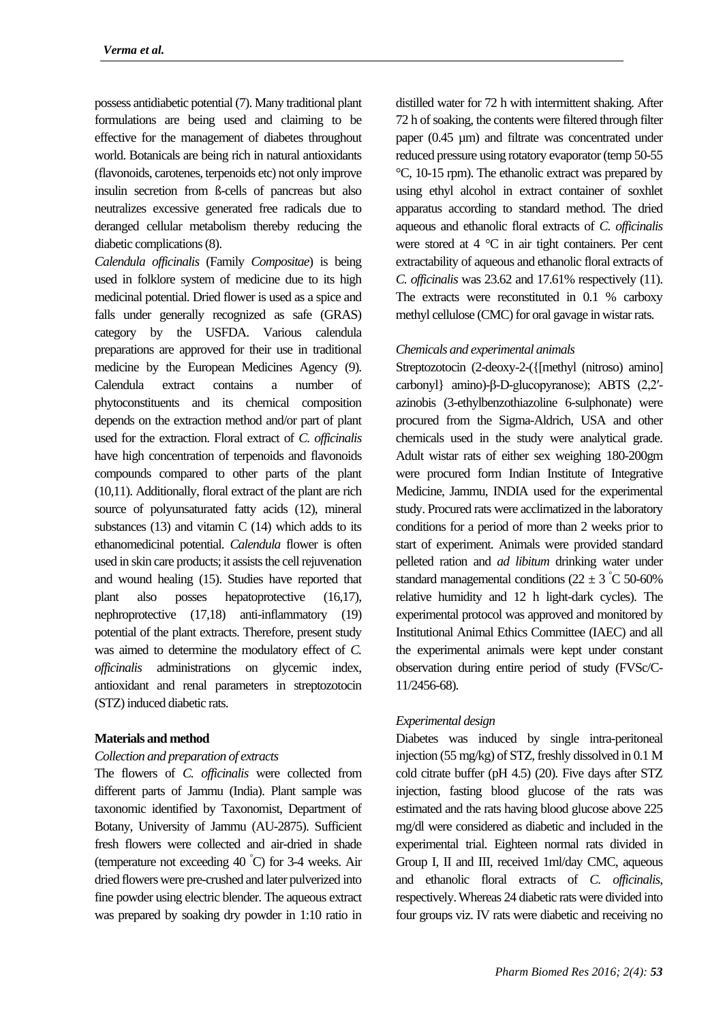possess antidiabetic potential (7). Many traditional plant formulations are being used and claiming to be effective for the management of diabetes throughout world. Botanicals are being rich in natural antioxidants (flavonoids, carotenes, terpenoids etc) not only improve insulin secretion from ß-cells of pancreas but also neutralizes excessive generated free radicals due to deranged cellular metabolism thereby reducing the diabetic complications (8).

*Calendula officinalis* (Family *Compositae*) is being used in folklore system of medicine due to its high medicinal potential. Dried flower is used as a spice and falls under generally recognized as safe (GRAS) category by the USFDA. Various calendula preparations are approved for their use in traditional medicine by the European Medicines Agency (9). Calendula extract contains a number of phytoconstituents and its chemical composition depends on the extraction method and/or part of plant used for the extraction. Floral extract of *C. officinalis*  have high concentration of terpenoids and flavonoids compounds compared to other parts of the plant (10,11). Additionally, floral extract of the plant are rich source of polyunsaturated fatty acids (12), mineral substances  $(13)$  and vitamin C  $(14)$  which adds to its ethanomedicinal potential. *Calendula* flower is often used in skin care products; it assists the cell rejuvenation and wound healing (15). Studies have reported that plant also posses hepatoprotective (16,17), nephroprotective (17,18) anti-inflammatory (19) potential of the plant extracts. Therefore, present study was aimed to determine the modulatory effect of *C. officinalis* administrations on glycemic index, antioxidant and renal parameters in streptozotocin (STZ) induced diabetic rats.

## **Materials and method**

### *Collection and preparation of extracts*

The flowers of *C. officinalis* were collected from different parts of Jammu (India). Plant sample was taxonomic identified by Taxonomist, Department of Botany, University of Jammu (AU-2875). Sufficient fresh flowers were collected and air-dried in shade (temperature not exceeding 40  $\degree$ C) for 3-4 weeks. Air dried flowers were pre-crushed and later pulverized into fine powder using electric blender. The aqueous extract was prepared by soaking dry powder in 1:10 ratio in

distilled water for 72 h with intermittent shaking. After 72 h of soaking, the contents were filtered through filter paper (0.45 µm) and filtrate was concentrated under reduced pressure using rotatory evaporator (temp 50-55 °C, 10-15 rpm). The ethanolic extract was prepared by using ethyl alcohol in extract container of soxhlet apparatus according to standard method. The dried aqueous and ethanolic floral extracts of *C. officinalis* were stored at 4 °C in air tight containers. Per cent extractability of aqueous and ethanolic floral extracts of *C. officinalis* was 23.62 and 17.61% respectively (11). The extracts were reconstituted in 0.1 % carboxy methyl cellulose (CMC) for oral gavage in wistar rats.

### *Chemicals and experimental animals*

Streptozotocin (2-deoxy-2-({[methyl (nitroso) amino] carbonyl} amino)-β-D-glucopyranose); ABTS (2,2′ azinobis (3-ethylbenzothiazoline 6-sulphonate) were procured from the Sigma-Aldrich, USA and other chemicals used in the study were analytical grade. Adult wistar rats of either sex weighing 180-200gm were procured form Indian Institute of Integrative Medicine, Jammu, INDIA used for the experimental study. Procured rats were acclimatized in the laboratory conditions for a period of more than 2 weeks prior to start of experiment. Animals were provided standard pelleted ration and *ad libitum* drinking water under standard managemental conditions  $(22 \pm 3 \degree C \space 50{\text -}60\%$ relative humidity and 12 h light-dark cycles). The experimental protocol was approved and monitored by Institutional Animal Ethics Committee (IAEC) and all the experimental animals were kept under constant observation during entire period of study (FVSc/C-11/2456-68).

## *Experimental design*

Diabetes was induced by single intra-peritoneal injection (55 mg/kg) of STZ, freshly dissolved in 0.1 M cold citrate buffer (pH 4.5) (20). Five days after STZ injection, fasting blood glucose of the rats was estimated and the rats having blood glucose above 225 mg/dl were considered as diabetic and included in the experimental trial. Eighteen normal rats divided in Group I, II and III, received 1ml/day CMC, aqueous and ethanolic floral extracts of *C. officinalis,* respectively. Whereas 24 diabetic rats were divided into four groups viz. IV rats were diabetic and receiving no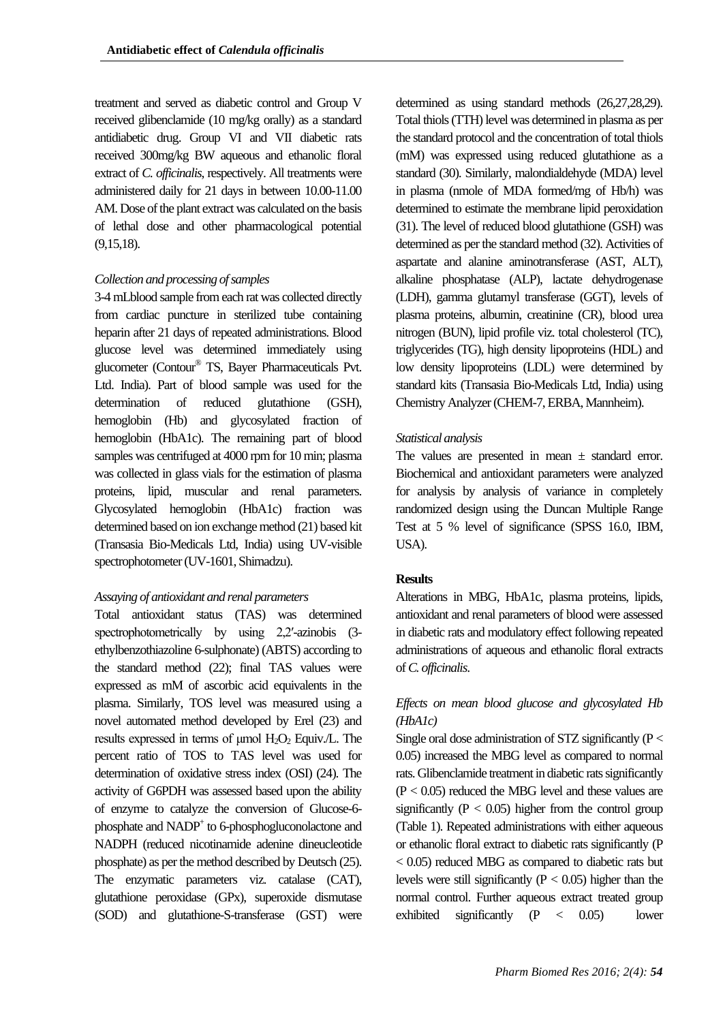treatment and served as diabetic control and Group V received glibenclamide (10 mg/kg orally) as a standard antidiabetic drug. Group VI and VII diabetic rats received 300mg/kg BW aqueous and ethanolic floral extract of *C. officinalis*, respectively. All treatments were administered daily for 21 days in between 10.00-11.00 AM. Dose of the plant extract was calculated on the basis of lethal dose and other pharmacological potential (9,15,18).

### *Collection and processing of samples*

3-4 mLblood sample from each rat was collected directly from cardiac puncture in sterilized tube containing heparin after 21 days of repeated administrations. Blood glucose level was determined immediately using glucometer (Contour® TS, Bayer Pharmaceuticals Pvt. Ltd. India). Part of blood sample was used for the determination of reduced glutathione (GSH), hemoglobin (Hb) and glycosylated fraction of hemoglobin (HbA1c). The remaining part of blood samples was centrifuged at 4000 rpm for 10 min; plasma was collected in glass vials for the estimation of plasma proteins, lipid, muscular and renal parameters. Glycosylated hemoglobin (HbA1c) fraction was determined based on ion exchange method (21) based kit (Transasia Bio-Medicals Ltd, India) using UV-visible spectrophotometer (UV-1601, Shimadzu).

## *Assaying of antioxidant and renal parameters*

Total antioxidant status (TAS) was determined spectrophotometrically by using 2,2′-azinobis (3ethylbenzothiazoline 6-sulphonate) (ABTS) according to the standard method (22); final TAS values were expressed as mM of ascorbic acid equivalents in the plasma. Similarly, TOS level was measured using a novel automated method developed by Erel (23) and results expressed in terms of  $\mu$ mol H<sub>2</sub>O<sub>2</sub> Equiv./L. The percent ratio of TOS to TAS level was used for determination of oxidative stress index (OSI) (24). The activity of G6PDH was assessed based upon the ability of enzyme to catalyze the conversion of Glucose-6 phosphate and NADP<sup>+</sup> to 6-phosphogluconolactone and NADPH (reduced nicotinamide adenine dineucleotide phosphate) as per the method described by Deutsch (25). The enzymatic parameters viz. catalase (CAT), glutathione peroxidase (GPx), superoxide dismutase (SOD) and glutathione-S-transferase (GST) were

determined as using standard methods (26,27,28,29). Total thiols (TTH) level was determined in plasma as per the standard protocol and the concentration of total thiols (mM) was expressed using reduced glutathione as a standard (30). Similarly, malondialdehyde (MDA) level in plasma (nmole of MDA formed/mg of Hb/h) was determined to estimate the membrane lipid peroxidation (31). The level of reduced blood glutathione (GSH) was determined as per the standard method (32). Activities of aspartate and alanine aminotransferase (AST, ALT), alkaline phosphatase (ALP), lactate dehydrogenase (LDH), gamma glutamyl transferase (GGT), levels of plasma proteins, albumin, creatinine (CR), blood urea nitrogen (BUN), lipid profile viz. total cholesterol (TC), triglycerides (TG), high density lipoproteins (HDL) and low density lipoproteins (LDL) were determined by standard kits (Transasia Bio-Medicals Ltd, India) using Chemistry Analyzer (CHEM-7, ERBA, Mannheim).

### *Statistical analysis*

The values are presented in mean  $\pm$  standard error. Biochemical and antioxidant parameters were analyzed for analysis by analysis of variance in completely randomized design using the Duncan Multiple Range Test at 5 % level of significance (SPSS 16.0, IBM, USA).

## **Results**

Alterations in MBG, HbA1c, plasma proteins, lipids, antioxidant and renal parameters of blood were assessed in diabetic rats and modulatory effect following repeated administrations of aqueous and ethanolic floral extracts of *C. officinalis*.

## *Effects on mean blood glucose and glycosylated Hb (HbA1c)*

Single oral dose administration of STZ significantly  $(P <$ 0.05) increased the MBG level as compared to normal rats. Glibenclamide treatment in diabetic rats significantly  $(P < 0.05)$  reduced the MBG level and these values are significantly  $(P < 0.05)$  higher from the control group (Table 1). Repeated administrations with either aqueous or ethanolic floral extract to diabetic rats significantly (P < 0.05) reduced MBG as compared to diabetic rats but levels were still significantly ( $P < 0.05$ ) higher than the normal control. Further aqueous extract treated group exhibited significantly (P < 0.05) lower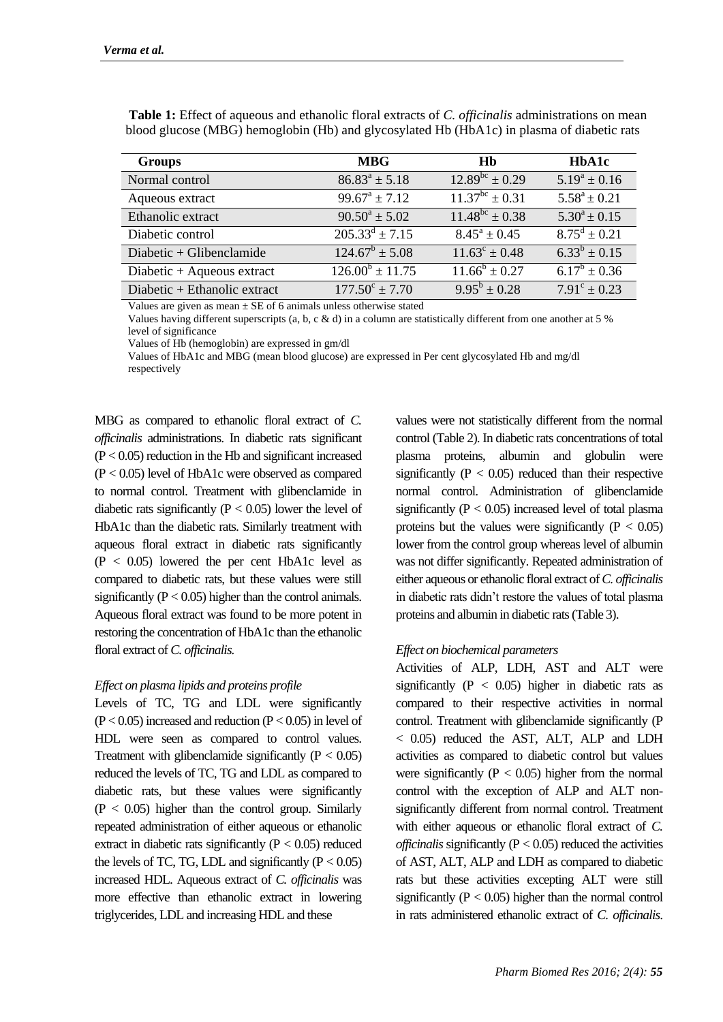| <b>Groups</b>                | <b>MBG</b>                | Hb                          | <b>HbA1c</b>             |
|------------------------------|---------------------------|-----------------------------|--------------------------|
| Normal control               | $86.83^a \pm 5.18$        | $12.89^{bc} \pm 0.29$       | $5.19^a \pm 0.16$        |
| Aqueous extract              | $99.67^a \pm 7.12$        | $11.37^{bc} \pm 0.31$       | $5.58^a \pm 0.21$        |
| Ethanolic extract            | $90.50^a \pm 5.02$        | $11.48^{bc} \pm 0.38$       | $5.30^a \pm 0.15$        |
| Diabetic control             | $205.33^d \pm 7.15$       | $8.45^{\circ} \pm 0.45$     | $8.75^{\text{d}} + 0.21$ |
| Diabetic + Glibenclamide     | $124.67^b \pm 5.08$       | $11.63^{\circ} \pm 0.48$    | $6.33^{b} \pm 0.15$      |
| Diabetic + Aqueous extract   | $126.00^b \pm 11.75$      | $\overline{11.66^b}$ ± 0.27 | $6.17^b \pm 0.36$        |
| Diabetic + Ethanolic extract | $177.50^{\circ} \pm 7.70$ | $9.95^{\rm b} \pm 0.28$     | $7.91^{\circ} \pm 0.23$  |

**Table 1:** Effect of aqueous and ethanolic floral extracts of *C. officinalis* administrations on mean blood glucose (MBG) hemoglobin (Hb) and glycosylated Hb (HbA1c) in plasma of diabetic rats

Values are given as mean  $\pm$  SE of 6 animals unless otherwise stated

Values having different superscripts (a, b, c & d) in a column are statistically different from one another at 5 % level of significance

Values of Hb (hemoglobin) are expressed in gm/dl

Values of HbA1c and MBG (mean blood glucose) are expressed in Per cent glycosylated Hb and mg/dl respectively

MBG as compared to ethanolic floral extract of *C. officinalis* administrations. In diabetic rats significant  $(P < 0.05)$  reduction in the Hb and significant increased (P < 0.05) level of HbA1c were observed as compared to normal control. Treatment with glibenclamide in diabetic rats significantly ( $P < 0.05$ ) lower the level of HbA1c than the diabetic rats. Similarly treatment with aqueous floral extract in diabetic rats significantly  $(P < 0.05)$  lowered the per cent HbA1c level as compared to diabetic rats, but these values were still significantly  $(P < 0.05)$  higher than the control animals. Aqueous floral extract was found to be more potent in restoring the concentration of HbA1c than the ethanolic floral extract of *C. officinalis.*

### *Effect on plasma lipids and proteins profile*

Levels of TC, TG and LDL were significantly  $(P < 0.05)$  increased and reduction  $(P < 0.05)$  in level of HDL were seen as compared to control values. Treatment with glibenclamide significantly  $(P < 0.05)$ reduced the levels of TC, TG and LDL as compared to diabetic rats, but these values were significantly  $(P < 0.05)$  higher than the control group. Similarly repeated administration of either aqueous or ethanolic extract in diabetic rats significantly  $(P < 0.05)$  reduced the levels of TC, TG, LDL and significantly  $(P < 0.05)$ increased HDL. Aqueous extract of *C. officinalis* was more effective than ethanolic extract in lowering triglycerides, LDL and increasing HDL and these

values were not statistically different from the normal control (Table 2). In diabetic rats concentrations of total plasma proteins, albumin and globulin were significantly  $(P < 0.05)$  reduced than their respective normal control. Administration of glibenclamide significantly ( $P < 0.05$ ) increased level of total plasma proteins but the values were significantly  $(P < 0.05)$ lower from the control group whereas level of albumin was not differ significantly. Repeated administration of either aqueous or ethanolic floral extract of *C. officinalis* in diabetic rats didn't restore the values of total plasma proteins and albumin in diabetic rats (Table 3).

### *Effect on biochemical parameters*

Activities of ALP, LDH, AST and ALT were significantly  $(P < 0.05)$  higher in diabetic rats as compared to their respective activities in normal control. Treatment with glibenclamide significantly (P < 0.05) reduced the AST, ALT, ALP and LDH activities as compared to diabetic control but values were significantly ( $P < 0.05$ ) higher from the normal control with the exception of ALP and ALT nonsignificantly different from normal control. Treatment with either aqueous or ethanolic floral extract of *C. officinalis* significantly  $(P < 0.05)$  reduced the activities of AST, ALT, ALP and LDH as compared to diabetic rats but these activities excepting ALT were still significantly  $(P < 0.05)$  higher than the normal control in rats administered ethanolic extract of *C. officinalis*.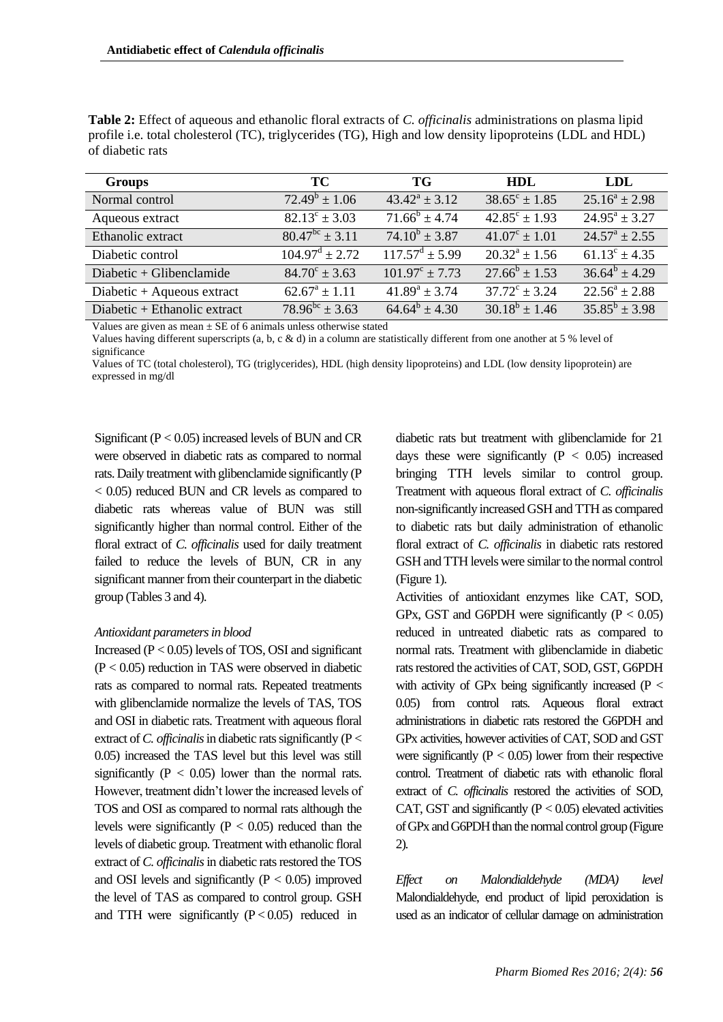| <b>Groups</b>                | TC.                          | TG                           | HDL                      | LDL                      |
|------------------------------|------------------------------|------------------------------|--------------------------|--------------------------|
| Normal control               | $72.49^b \pm 1.06$           | $43.42^a \pm 3.12$           | $38.65^{\circ} \pm 1.85$ | $25.16^a \pm 2.98$       |
| Aqueous extract              | $82.13^{\circ} \pm 3.03$     | $71.66^b \pm 4.74$           | $42.85^{\circ} \pm 1.93$ | $24.95^a \pm 3.27$       |
| Ethanolic extract            | $80.47^{bc} \pm 3.11$        | $74.10^b \pm 3.87$           | $41.07^{\circ} \pm 1.01$ | $24.57^{\circ}$ + 2.55   |
| Diabetic control             | $104.97^{\text{d}} \pm 2.72$ | $117.57^{\text{d}} \pm 5.99$ | $20.32^a \pm 1.56$       | $61.13^{\circ} \pm 4.35$ |
| Diabetic + Glibenclamide     | $84.70^{\circ} \pm 3.63$     | $101.97^{\circ} \pm 7.73$    | $27.66^b \pm 1.53$       | $36.64^b \pm 4.29$       |
| Diabetic + Aqueous extract   | $62.67^a \pm 1.11$           | $41.89^a \pm 3.74$           | $37.72^{\circ} \pm 3.24$ | $22.56^a \pm 2.88$       |
| Diabetic + Ethanolic extract | $78.96^{bc} + 3.63$          | $64.64^b \pm 4.30$           | $30.18^b \pm 1.46$       | $35.85^b + 3.98$         |

**Table 2:** Effect of aqueous and ethanolic floral extracts of *C. officinalis* administrations on plasma lipid profile i.e. total cholesterol (TC), triglycerides (TG), High and low density lipoproteins (LDL and HDL) of diabetic rats

Values are given as mean  $\pm$  SE of 6 animals unless otherwise stated

Values having different superscripts (a, b, c & d) in a column are statistically different from one another at 5 % level of significance

Values of TC (total cholesterol), TG (triglycerides), HDL (high density lipoproteins) and LDL (low density lipoprotein) are expressed in mg/dl

Significant  $(P < 0.05)$  increased levels of BUN and CR were observed in diabetic rats as compared to normal rats. Daily treatment with glibenclamide significantly (P < 0.05) reduced BUN and CR levels as compared to diabetic rats whereas value of BUN was still significantly higher than normal control. Either of the floral extract of *C. officinalis* used for daily treatment failed to reduce the levels of BUN, CR in any significant manner from their counterpart in the diabetic group (Tables 3 and 4).

### *Antioxidant parameters in blood*

Increased  $(P < 0.05)$  levels of TOS, OSI and significant  $(P < 0.05)$  reduction in TAS were observed in diabetic rats as compared to normal rats. Repeated treatments with glibenclamide normalize the levels of TAS, TOS and OSI in diabetic rats. Treatment with aqueous floral extract of *C. officinalis* in diabetic rats significantly (P < 0.05) increased the TAS level but this level was still significantly ( $P < 0.05$ ) lower than the normal rats. However, treatment didn't lower the increased levels of TOS and OSI as compared to normal rats although the levels were significantly ( $P < 0.05$ ) reduced than the levels of diabetic group. Treatment with ethanolic floral extract of *C. officinalis*in diabetic rats restored the TOS and OSI levels and significantly  $(P < 0.05)$  improved the level of TAS as compared to control group. GSH and TTH were significantly  $(P < 0.05)$  reduced in

diabetic rats but treatment with glibenclamide for 21 days these were significantly  $(P < 0.05)$  increased bringing TTH levels similar to control group. Treatment with aqueous floral extract of *C. officinalis* non-significantly increased GSH and TTH as compared to diabetic rats but daily administration of ethanolic floral extract of *C. officinalis* in diabetic rats restored GSH and TTH levels were similar to the normal control (Figure 1).

Activities of antioxidant enzymes like CAT, SOD, GPx, GST and G6PDH were significantly  $(P < 0.05)$ reduced in untreated diabetic rats as compared to normal rats. Treatment with glibenclamide in diabetic rats restored the activities of CAT, SOD, GST, G6PDH with activity of GPx being significantly increased ( $P <$ 0.05) from control rats. Aqueous floral extract administrations in diabetic rats restored the G6PDH and GPx activities, however activities of CAT, SOD and GST were significantly  $(P < 0.05)$  lower from their respective control. Treatment of diabetic rats with ethanolic floral extract of *C. officinalis* restored the activities of SOD, CAT, GST and significantly  $(P < 0.05)$  elevated activities of GPx and G6PDH than the normal control group (Figure 2).

*Effect on Malondialdehyde (MDA) level* Malondialdehyde, end product of lipid peroxidation is used as an indicator of cellular damage on administration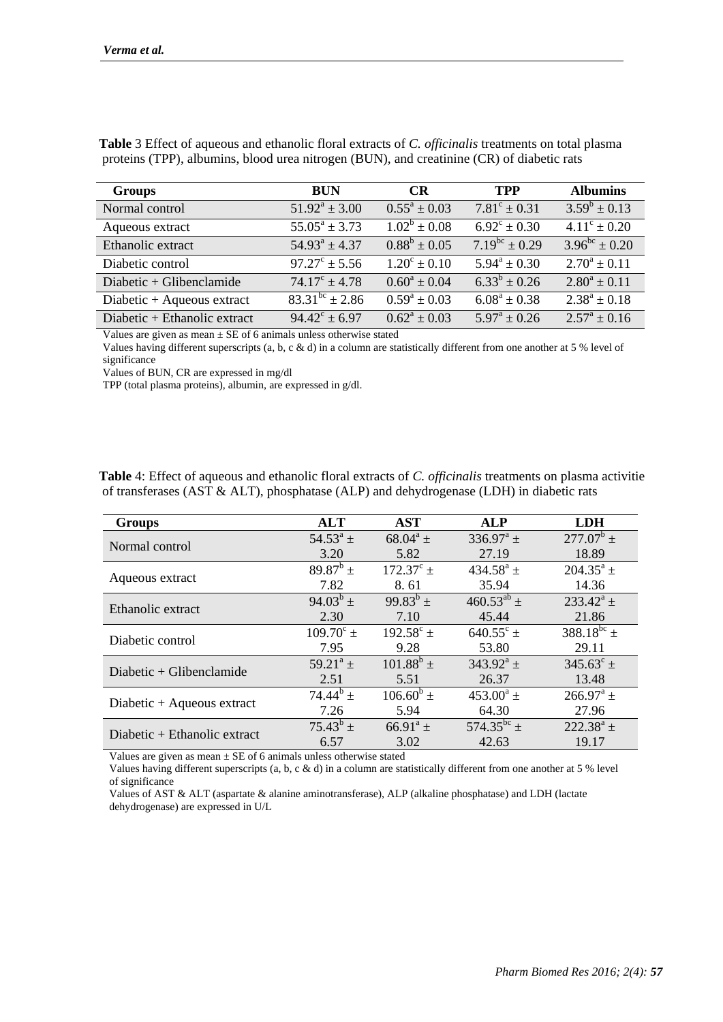| <b>Groups</b>                                                                                                                                                                                                                                                                                    | <b>BUN</b>                    | <b>CR</b>               | <b>TPP</b>              | <b>Albumins</b>         |
|--------------------------------------------------------------------------------------------------------------------------------------------------------------------------------------------------------------------------------------------------------------------------------------------------|-------------------------------|-------------------------|-------------------------|-------------------------|
| Normal control                                                                                                                                                                                                                                                                                   | $51.92^a \pm 3.00$            | $0.55^{\rm a} \pm 0.03$ | $7.81^{\circ} \pm 0.31$ | $3.59^b \pm 0.13$       |
| Aqueous extract                                                                                                                                                                                                                                                                                  | $55.05^a \pm 3.73$            | $1.02^b \pm 0.08$       | $6.92^{\circ} \pm 0.30$ | $4.11^{\circ} \pm 0.20$ |
| Ethanolic extract                                                                                                                                                                                                                                                                                | $54.93^a \pm 4.37$            | $0.88^b \pm 0.05$       | $7.19^{bc} \pm 0.29$    | $3.96^{bc} \pm 0.20$    |
| Diabetic control                                                                                                                                                                                                                                                                                 | $97.27^{\circ} \pm 5.56$      | $1.20^{\circ} \pm 0.10$ | $5.94^a \pm 0.30$       | $2.70^a \pm 0.11$       |
| Diabetic + Glibenclamide                                                                                                                                                                                                                                                                         | $74.17^{\circ} \pm 4.78$      | $0.60^a \pm 0.04$       | $6.33^{b} \pm 0.26$     | $2.80^a \pm 0.11$       |
| Diabetic + Aqueous extract                                                                                                                                                                                                                                                                       | $\frac{1}{83.31^{bc}}$ ± 2.86 | $0.59^a \pm 0.03$       | $6.08^a \pm 0.38$       | $2.38^a \pm 0.18$       |
| Diabetic + Ethanolic extract                                                                                                                                                                                                                                                                     | $94.42^{\circ} \pm 6.97$      | $0.62^a \pm 0.03$       | $5.97^{\rm a} \pm 0.26$ | $2.57^{\rm a} \pm 0.16$ |
| $\mathbf{v}$ and $\mathbf{v}$ and $\mathbf{v}$ and $\mathbf{v}$ and $\mathbf{v}$ and $\mathbf{v}$ and $\mathbf{v}$ and $\mathbf{v}$ and $\mathbf{v}$ and $\mathbf{v}$ and $\mathbf{v}$ and $\mathbf{v}$ and $\mathbf{v}$ and $\mathbf{v}$ and $\mathbf{v}$ and $\mathbf{v}$ and $\mathbf{v}$ and |                               |                         |                         |                         |

**Table** 3 Effect of aqueous and ethanolic floral extracts of *C. officinalis* treatments on total plasma proteins (TPP), albumins, blood urea nitrogen (BUN), and creatinine (CR) of diabetic rats

Values are given as mean  $\pm$  SE of 6 animals unless otherwise stated

Values having different superscripts (a, b, c & d) in a column are statistically different from one another at 5 % level of significance

Values of BUN, CR are expressed in mg/dl

TPP (total plasma proteins), albumin, are expressed in g/dl.

| <b>Groups</b>                  | <b>ALT</b>         | <b>AST</b>         | <b>ALP</b>                 | <b>LDH</b>             |
|--------------------------------|--------------------|--------------------|----------------------------|------------------------|
| Normal control                 | $54.53^{\circ}$ ±  | $68.04^a \pm$      | $336.97^{\circ}$ ±         | $277.07^b$ +           |
|                                | 3.20               | 5.82               | 27.19                      | 18.89                  |
| Aqueous extract                | $89.87^{\rm b}$ ±  | $172.37^{\circ}$ ± | $434.58^{\rm a}$ ±         | $204.35^a \pm$         |
|                                | 7.82               | 8.61               | 35.94                      | 14.36                  |
| Ethanolic extract              | $94.03^{b}$ ±      | $99.83^{b}$ ±      | $460.53^{ab} \pm$          | $233.42^{\circ}$ ±     |
|                                | 2.30               | 7.10               | 45.44                      | 21.86                  |
| Diabetic control               | $109.70^{\circ}$ ± | $192.58^{\circ}$ ± | $640.55^{\circ}$ ±         | 388.18 <sup>bc</sup> ± |
|                                | 7.95               | 9.28               | 53.80                      | 29.11                  |
| Diabetic + Glibenclamide       | $59.21^a \pm$      | $101.88^b \pm$     | $343.92^{\rm a}$ ±         | $345.63^{\circ}$ ±     |
|                                | 2.51               | 5.51               | 26.37                      | 13.48                  |
| Diabetic $+$ Aqueous extract   | $74.44^b$ +        | $106.60^b \pm$     | $453.00^a \pm$             | $266.97^{\rm a}$ ±     |
|                                | 7.26               | 5.94               | 64.30                      | 27.96                  |
| Diabetic $+$ Ethanolic extract | $75.43^b \pm$      | $66.91^a \pm$      | 574.35 <sup>bc</sup> $\pm$ | $222.38^a \pm$         |
|                                | 6.57               | 3.02               | 42.63                      | 19.17                  |

**Table** 4: Effect of aqueous and ethanolic floral extracts of *C. officinalis* treatments on plasma activitie of transferases (AST & ALT), phosphatase (ALP) and dehydrogenase (LDH) in diabetic rats

Values are given as mean  $\pm$  SE of 6 animals unless otherwise stated

Values having different superscripts (a, b, c & d) in a column are statistically different from one another at 5 % level of significance

Values of AST & ALT (aspartate & alanine aminotransferase), ALP (alkaline phosphatase) and LDH (lactate dehydrogenase) are expressed in U/L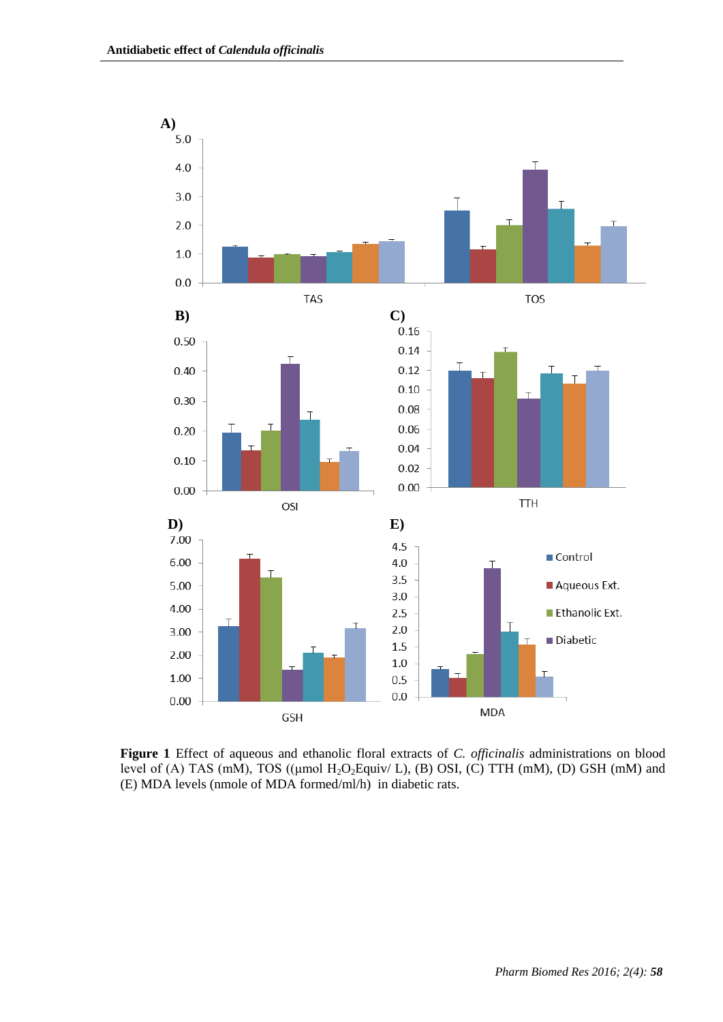

**Figure 1** Effect of aqueous and ethanolic floral extracts of *C. officinalis* administrations on blood level of (A) TAS (mM), TOS (( $\mu$ mol H<sub>2</sub>O<sub>2</sub>Equiv/ L), (B) OSI, (C) TTH (mM), (D) GSH (mM) and (E) MDA levels (nmole of MDA formed/ml/h) in diabetic rats.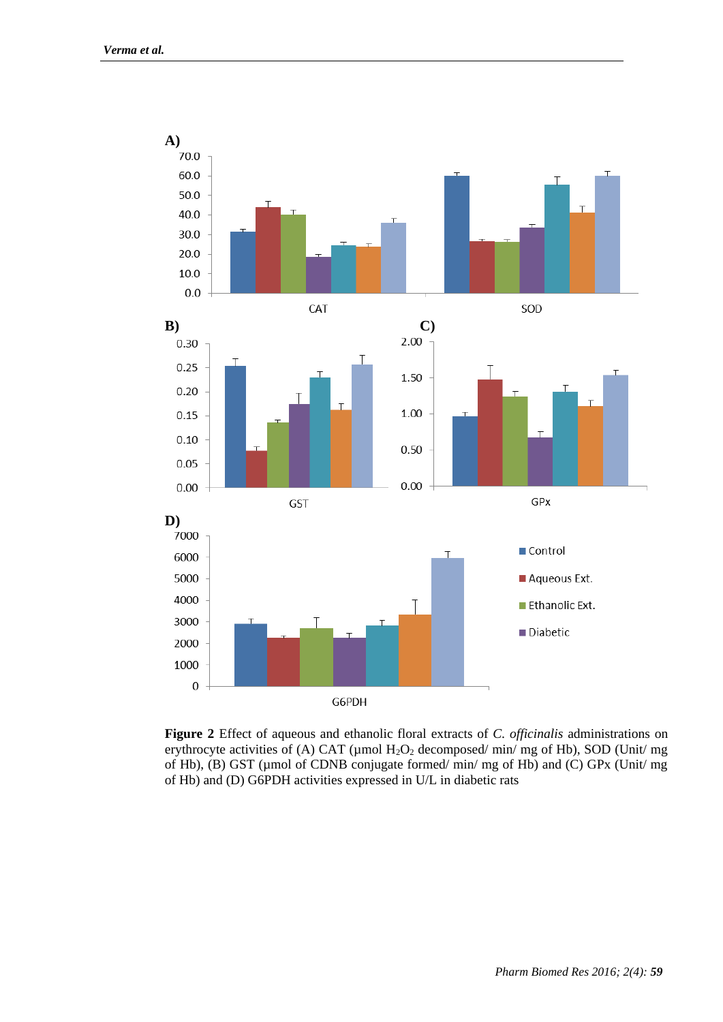

**Figure 2** Effect of aqueous and ethanolic floral extracts of *C. officinalis* administrations on erythrocyte activities of (A) CAT ( $\mu$ mol H<sub>2</sub>O<sub>2</sub> decomposed/ min/ mg of Hb), SOD (Unit/ mg of Hb), (B) GST (µmol of CDNB conjugate formed/ min/ mg of Hb) and (C) GPx (Unit/ mg of Hb) and (D) G6PDH activities expressed in U/L in diabetic rats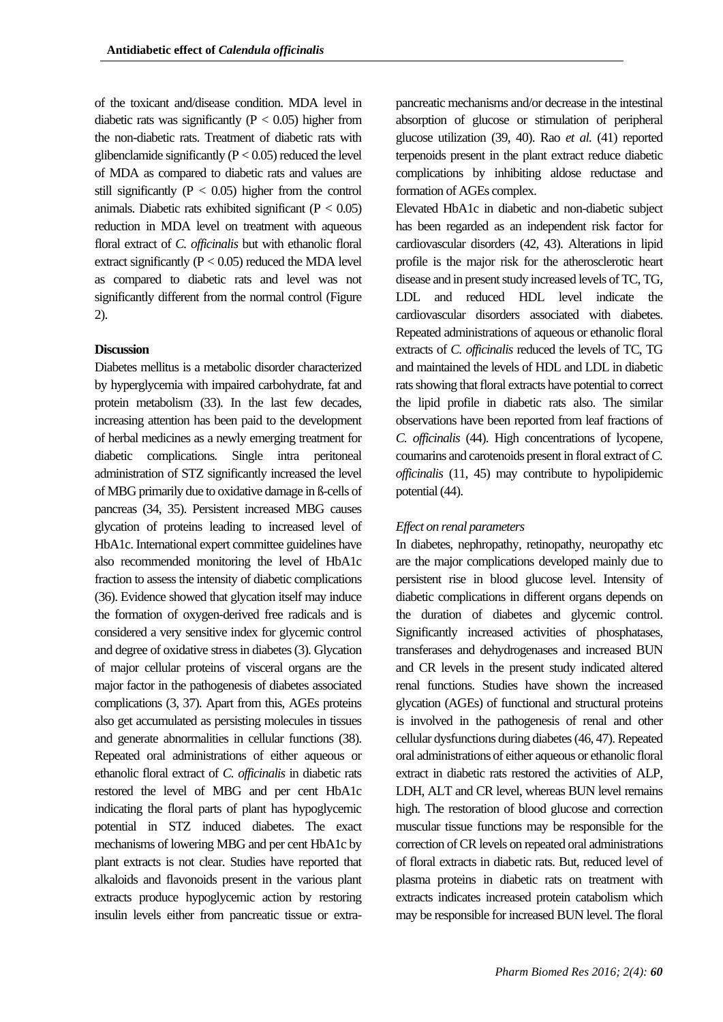of the toxicant and/disease condition. MDA level in diabetic rats was significantly  $(P < 0.05)$  higher from the non-diabetic rats. Treatment of diabetic rats with glibenclamide significantly ( $P < 0.05$ ) reduced the level of MDA as compared to diabetic rats and values are still significantly ( $P < 0.05$ ) higher from the control animals. Diabetic rats exhibited significant  $(P < 0.05)$ reduction in MDA level on treatment with aqueous floral extract of *C. officinalis* but with ethanolic floral extract significantly  $(P < 0.05)$  reduced the MDA level as compared to diabetic rats and level was not significantly different from the normal control (Figure 2).

### **Discussion**

Diabetes mellitus is a metabolic disorder characterized by hyperglycemia with impaired carbohydrate, fat and protein metabolism (33). In the last few decades, increasing attention has been paid to the development of herbal medicines as a newly emerging treatment for diabetic complications. Single intra peritoneal administration of STZ significantly increased the level of MBG primarily due to oxidative damage in ß-cells of pancreas (34, 35). Persistent increased MBG causes glycation of proteins leading to increased level of HbA1c. International expert committee guidelines have also recommended monitoring the level of HbA1c fraction to assess the intensity of diabetic complications (36). Evidence showed that glycation itself may induce the formation of oxygen-derived free radicals and is considered a very sensitive index for glycemic control and degree of oxidative stress in diabetes (3). Glycation of major cellular proteins of visceral organs are the major factor in the pathogenesis of diabetes associated complications (3, 37). Apart from this, AGEs proteins also get accumulated as persisting molecules in tissues and generate abnormalities in cellular functions (38). Repeated oral administrations of either aqueous or ethanolic floral extract of *C. officinalis* in diabetic rats restored the level of MBG and per cent HbA1c indicating the floral parts of plant has hypoglycemic potential in STZ induced diabetes. The exact mechanisms of lowering MBG and per cent HbA1c by plant extracts is not clear. Studies have reported that alkaloids and flavonoids present in the various plant extracts produce hypoglycemic action by restoring insulin levels either from pancreatic tissue or extrapancreatic mechanisms and/or decrease in the intestinal absorption of glucose or stimulation of peripheral glucose utilization (39, 40). Rao *et al.* (41) reported terpenoids present in the plant extract reduce diabetic complications by inhibiting aldose reductase and formation of AGEs complex.

Elevated HbA1c in diabetic and non-diabetic subject has been regarded as an independent risk factor for cardiovascular disorders (42, 43). Alterations in lipid profile is the major risk for the atherosclerotic heart disease and in present study increased levels of TC, TG, LDL and reduced HDL level indicate the cardiovascular disorders associated with diabetes. Repeated administrations of aqueous or ethanolic floral extracts of *C. officinalis* reduced the levels of TC, TG and maintained the levels of HDL and LDL in diabetic rats showing that floral extracts have potential to correct the lipid profile in diabetic rats also. The similar observations have been reported from leaf fractions of *C. officinalis* (44). High concentrations of lycopene, coumarins and carotenoids present in floral extract of *C. officinalis* (11, 45) may contribute to hypolipidemic potential (44).

## *Effect on renal parameters*

In diabetes, nephropathy, retinopathy, neuropathy etc are the major complications developed mainly due to persistent rise in blood glucose level. Intensity of diabetic complications in different organs depends on the duration of diabetes and glycemic control. Significantly increased activities of phosphatases, transferases and dehydrogenases and increased BUN and CR levels in the present study indicated altered renal functions. Studies have shown the increased glycation (AGEs) of functional and structural proteins is involved in the pathogenesis of renal and other cellular dysfunctions during diabetes (46, 47). Repeated oral administrations of either aqueous or ethanolic floral extract in diabetic rats restored the activities of ALP, LDH, ALT and CR level, whereas BUN level remains high. The restoration of blood glucose and correction muscular tissue functions may be responsible for the correction of CR levels on repeated oral administrations of floral extracts in diabetic rats. But, reduced level of plasma proteins in diabetic rats on treatment with extracts indicates increased protein catabolism which may be responsible for increased BUN level. The floral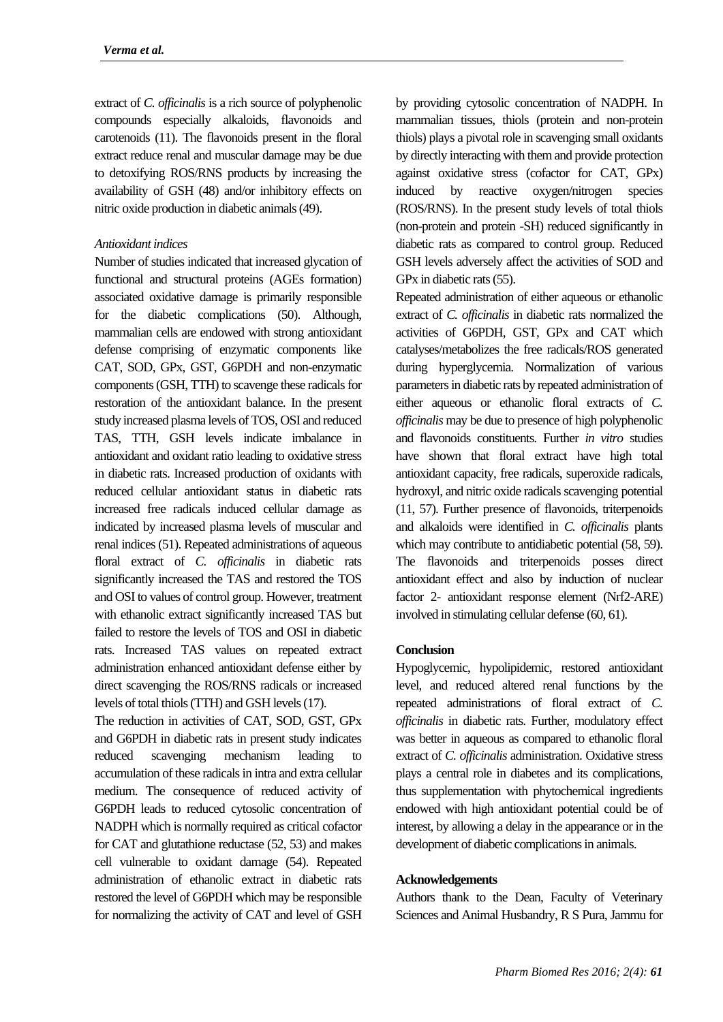extract of *C. officinalis* is a rich source of polyphenolic compounds especially alkaloids, flavonoids and carotenoids (11). The flavonoids present in the floral extract reduce renal and muscular damage may be due to detoxifying ROS/RNS products by increasing the availability of GSH (48) and/or inhibitory effects on nitric oxide production in diabetic animals (49).

### *Antioxidant indices*

Number of studies indicated that increased glycation of functional and structural proteins (AGEs formation) associated oxidative damage is primarily responsible for the diabetic complications (50). Although, mammalian cells are endowed with strong antioxidant defense comprising of enzymatic components like CAT, SOD, GPx, GST, G6PDH and non-enzymatic components (GSH, TTH) to scavenge these radicals for restoration of the antioxidant balance. In the present study increased plasma levels of TOS, OSI and reduced TAS, TTH, GSH levels indicate imbalance in antioxidant and oxidant ratio leading to oxidative stress in diabetic rats. Increased production of oxidants with reduced cellular antioxidant status in diabetic rats increased free radicals induced cellular damage as indicated by increased plasma levels of muscular and renal indices (51). Repeated administrations of aqueous floral extract of *C. officinalis* in diabetic rats significantly increased the TAS and restored the TOS and OSI to values of control group. However, treatment with ethanolic extract significantly increased TAS but failed to restore the levels of TOS and OSI in diabetic rats. Increased TAS values on repeated extract administration enhanced antioxidant defense either by direct scavenging the ROS/RNS radicals or increased levels of total thiols (TTH) and GSH levels (17).

The reduction in activities of CAT, SOD, GST, GPx and G6PDH in diabetic rats in present study indicates reduced scavenging mechanism leading to accumulation of these radicals in intra and extra cellular medium. The consequence of reduced activity of G6PDH leads to reduced cytosolic concentration of NADPH which is normally required as critical cofactor for CAT and glutathione reductase (52, 53) and makes cell vulnerable to oxidant damage (54). Repeated administration of ethanolic extract in diabetic rats restored the level of G6PDH which may be responsible for normalizing the activity of CAT and level of GSH by providing cytosolic concentration of NADPH. In mammalian tissues, thiols (protein and non-protein thiols) plays a pivotal role in scavenging small oxidants by directly interacting with them and provide protection against oxidative stress (cofactor for CAT, GPx) induced by reactive oxygen/nitrogen species (ROS/RNS). In the present study levels of total thiols (non-protein and protein -SH) reduced significantly in diabetic rats as compared to control group. Reduced GSH levels adversely affect the activities of SOD and GPx in diabetic rats (55).

Repeated administration of either aqueous or ethanolic extract of *C. officinalis* in diabetic rats normalized the activities of G6PDH, GST, GPx and CAT which catalyses/metabolizes the free radicals/ROS generated during hyperglycemia. Normalization of various parameters in diabetic rats by repeated administration of either aqueous or ethanolic floral extracts of *C. officinalis* may be due to presence of high polyphenolic and flavonoids constituents. Further *in vitro* studies have shown that floral extract have high total antioxidant capacity, free radicals, superoxide radicals, hydroxyl, and nitric oxide radicals scavenging potential (11, 57). Further presence of flavonoids, triterpenoids and alkaloids were identified in *C. officinalis* plants which may contribute to antidiabetic potential  $(58, 59)$ . The flavonoids and triterpenoids posses direct antioxidant effect and also by induction of nuclear factor 2- antioxidant response element (Nrf2-ARE) involved in stimulating cellular defense (60, 61).

### **Conclusion**

Hypoglycemic, hypolipidemic, restored antioxidant level, and reduced altered renal functions by the repeated administrations of floral extract of *C. officinalis* in diabetic rats. Further, modulatory effect was better in aqueous as compared to ethanolic floral extract of *C. officinalis* administration. Oxidative stress plays a central role in diabetes and its complications, thus supplementation with phytochemical ingredients endowed with high antioxidant potential could be of interest, by allowing a delay in the appearance or in the development of diabetic complications in animals.

### **Acknowledgements**

Authors thank to the Dean, Faculty of Veterinary Sciences and Animal Husbandry, R S Pura, Jammu for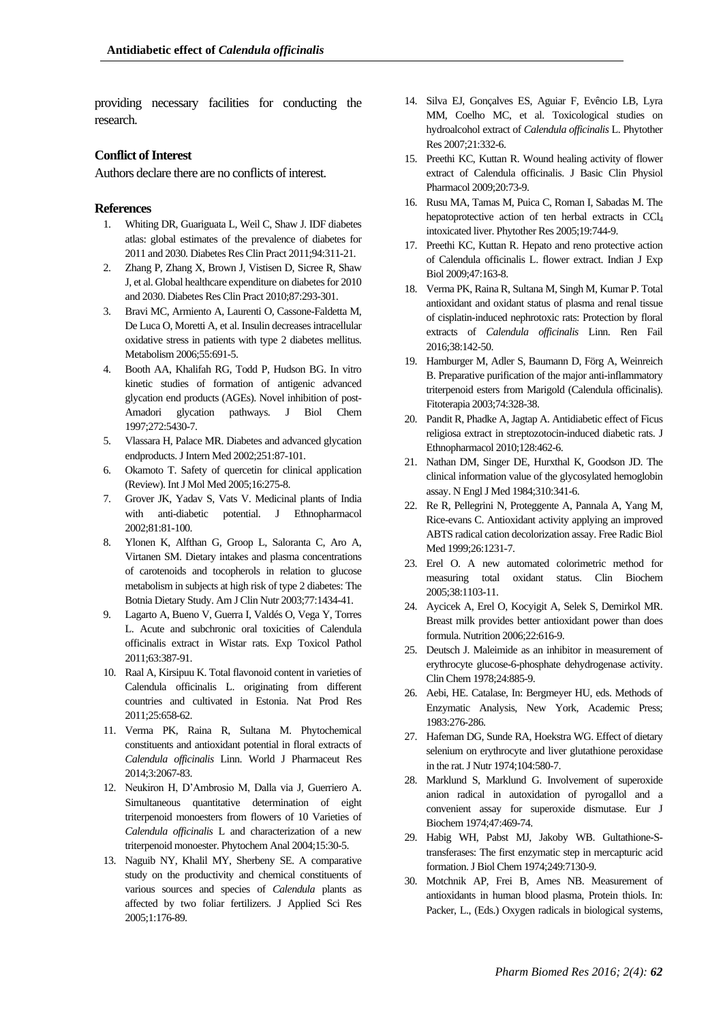providing necessary facilities for conducting the research.

### **Conflict of Interest**

Authors declare there are no conflicts of interest.

### **References**

- 1. Whiting DR, Guariguata L, Weil C, Shaw J. IDF diabetes atlas: global estimates of the prevalence of diabetes for 2011 and 2030. Diabetes Res Clin Pract 2011;94:311-21.
- 2. Zhang P, Zhang X, Brown J, Vistisen D, Sicree R, Shaw J, et al. Global healthcare expenditure on diabetes for 2010 and 2030. Diabetes Res Clin Pract 2010;87:293-301.
- 3. Bravi MC, Armiento A, Laurenti O, Cassone-Faldetta M, De Luca O, Moretti A, et al. Insulin decreases intracellular oxidative stress in patients with type 2 diabetes mellitus. Metabolism 2006;55:691-5.
- 4. Booth AA, Khalifah RG, Todd P, Hudson BG. In vitro kinetic studies of formation of antigenic advanced glycation end products (AGEs). Novel inhibition of post-Amadori glycation pathways. J Biol Chem 1997;272:5430-7.
- 5. Vlassara H, Palace MR. Diabetes and advanced glycation endproducts. J Intern Med 2002;251:87-101.
- 6. Okamoto T. Safety of quercetin for clinical application (Review). Int J Mol Med 2005;16:275-8.
- 7. Grover JK, Yadav S, Vats V. Medicinal plants of India with anti-diabetic potential. J Ethnopharmacol 2002;81:81-100.
- 8. Ylonen K, Alfthan G, Groop L, Saloranta C, Aro A, Virtanen SM. Dietary intakes and plasma concentrations of carotenoids and tocopherols in relation to glucose metabolism in subjects at high risk of type 2 diabetes: The Botnia Dietary Study. Am J Clin Nutr 2003;77:1434-41.
- 9. Lagarto A, Bueno V, Guerra I, Valdés O, Vega Y, Torres L. Acute and subchronic oral toxicities of Calendula officinalis extract in Wistar rats. Exp Toxicol Pathol 2011;63:387-91.
- 10. Raal A, Kirsipuu K. Total flavonoid content in varieties of Calendula officinalis L. originating from different countries and cultivated in Estonia. Nat Prod Res 2011;25:658-62.
- 11. Verma PK, Raina R, Sultana M. Phytochemical constituents and antioxidant potential in floral extracts of *Calendula officinalis* Linn. World J Pharmaceut Res 2014;3:2067-83.
- 12. Neukiron H, D'Ambrosio M, Dalla via J, Guerriero A. Simultaneous quantitative determination of eight triterpenoid monoesters from flowers of 10 Varieties of *Calendula officinalis* L and characterization of a new triterpenoid monoester. Phytochem Anal 2004;15:30-5.
- 13. Naguib NY, Khalil MY, Sherbeny SE. A comparative study on the productivity and chemical constituents of various sources and species of *Calendula* plants as affected by two foliar fertilizers. J Applied Sci Res 2005;1:176-89.
- 14. Silva EJ, Gonçalves ES, Aguiar F, Evêncio LB, Lyra MM, Coelho MC, et al. Toxicological studies on hydroalcohol extract of *Calendula officinalis* L. Phytother Res 2007;21:332-6.
- 15. Preethi KC, Kuttan R. Wound healing activity of flower extract of Calendula officinalis. J Basic Clin Physiol Pharmacol 2009;20:73-9.
- 16. Rusu MA, Tamas M, Puica C, Roman I, Sabadas M. The hepatoprotective action of ten herbal extracts in CCl<sub>4</sub> intoxicated liver. Phytother Res 2005;19:744-9.
- 17. Preethi KC, Kuttan R. Hepato and reno protective action of Calendula officinalis L. flower extract. Indian J Exp Biol 2009;47:163-8.
- 18. Verma PK, Raina R, Sultana M, Singh M, Kumar P. Total antioxidant and oxidant status of plasma and renal tissue of cisplatin-induced nephrotoxic rats: Protection by floral extracts of *Calendula officinalis* Linn. Ren Fail 2016;38:142-50.
- 19. Hamburger M, Adler S, Baumann D, Förg A, Weinreich B. Preparative purification of the major anti-inflammatory triterpenoid esters from Marigold (Calendula officinalis). Fitoterapia 2003;74:328-38.
- 20. Pandit R, Phadke A, Jagtap A. Antidiabetic effect of Ficus religiosa extract in streptozotocin-induced diabetic rats. J Ethnopharmacol 2010;128:462-6.
- 21. Nathan DM, Singer DE, Hurxthal K, Goodson JD. The clinical information value of the glycosylated hemoglobin assay. N Engl J Med 1984;310:341-6.
- 22. Re R, Pellegrini N, Proteggente A, Pannala A, Yang M, Rice-evans C. Antioxidant activity applying an improved ABTS radical cation decolorization assay. Free Radic Biol Med 1999;26:1231-7.
- 23. Erel O. A new automated colorimetric method for measuring total oxidant status. Clin Biochem 2005;38:1103-11.
- 24. Aycicek A, Erel O, Kocyigit A, Selek S, Demirkol MR. Breast milk provides better antioxidant power than does formula. Nutrition 2006;22:616-9.
- 25. Deutsch J. Maleimide as an inhibitor in measurement of erythrocyte glucose-6-phosphate dehydrogenase activity. Clin Chem 1978;24:885-9.
- 26. Aebi, HE. Catalase, In: Bergmeyer HU, eds. Methods of Enzymatic Analysis, New York, Academic Press; 1983:276-286.
- 27. Hafeman DG, Sunde RA, Hoekstra WG. Effect of dietary selenium on erythrocyte and liver glutathione peroxidase in the rat. J Nutr 1974;104:580-7.
- 28. Marklund S, Marklund G. Involvement of superoxide anion radical in autoxidation of pyrogallol and a convenient assay for superoxide dismutase. Eur J Biochem 1974;47:469-74.
- 29. Habig WH, Pabst MJ, Jakoby WB. Gultathione-Stransferases: The first enzymatic step in mercapturic acid formation. J Biol Chem 1974;249:7130-9.
- 30. Motchnik AP, Frei B, Ames NB. Measurement of antioxidants in human blood plasma, Protein thiols. In: Packer, L., (Eds.) Oxygen radicals in biological systems,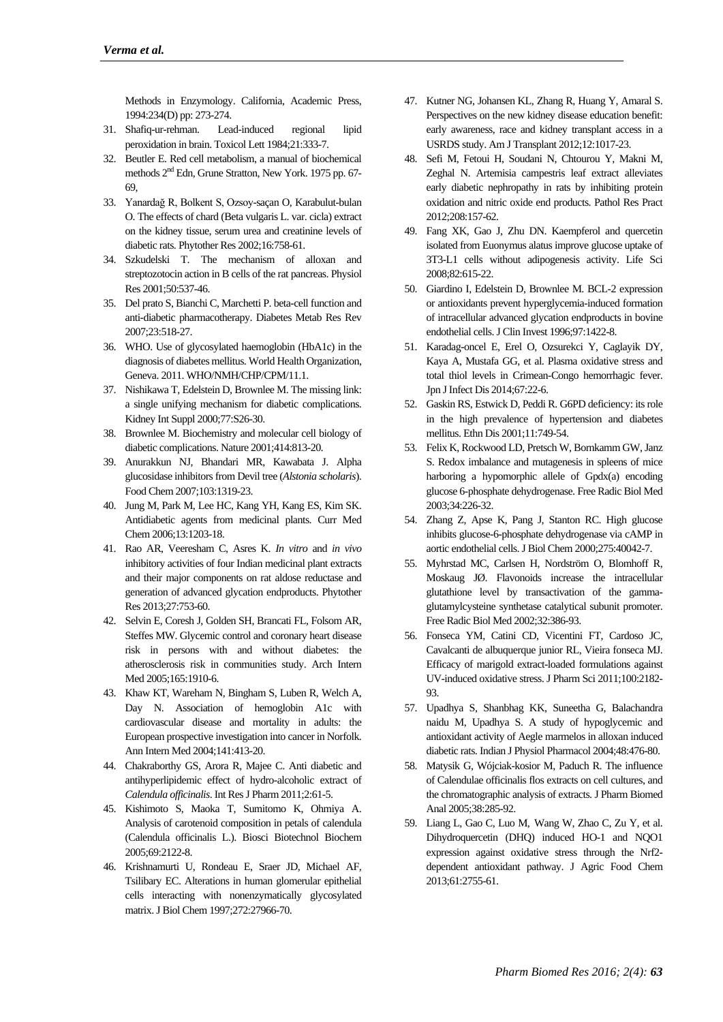Methods in Enzymology. California, Academic Press, 1994:234(D) pp: 273-274.

- 31. Shafiq-ur-rehman. Lead-induced regional lipid peroxidation in brain. Toxicol Lett 1984;21:333-7.
- 32. Beutler E. Red cell metabolism, a manual of biochemical methods  $2<sup>nd</sup>$  Edn, Grune Stratton, New York. 1975 pp. 67-69,
- 33. Yanardağ R, Bolkent S, Ozsoy-saçan O, Karabulut-bulan O. The effects of chard (Beta vulgaris L. var. cicla) extract on the kidney tissue, serum urea and creatinine levels of diabetic rats. Phytother Res 2002;16:758-61.
- 34. Szkudelski T. The mechanism of alloxan and streptozotocin action in B cells of the rat pancreas. Physiol Res 2001;50:537-46.
- 35. Del prato S, Bianchi C, Marchetti P. beta-cell function and anti-diabetic pharmacotherapy. Diabetes Metab Res Rev 2007;23:518-27.
- 36. WHO. Use of glycosylated haemoglobin (HbA1c) in the diagnosis of diabetes mellitus. World Health Organization, Geneva. 2011. WHO/NMH/CHP/CPM/11.1.
- 37. Nishikawa T, Edelstein D, Brownlee M. The missing link: a single unifying mechanism for diabetic complications. Kidney Int Suppl 2000;77:S26-30.
- 38. Brownlee M. Biochemistry and molecular cell biology of diabetic complications. Nature 2001;414:813-20.
- 39. Anurakkun NJ, Bhandari MR, Kawabata J. Alpha glucosidase inhibitors from Devil tree (*Alstonia scholaris*). Food Chem 2007;103:1319-23.
- 40. Jung M, Park M, Lee HC, Kang YH, Kang ES, Kim SK. Antidiabetic agents from medicinal plants. Curr Med Chem 2006;13:1203-18.
- 41. Rao AR, Veeresham C, Asres K. *In vitro* and *in vivo* inhibitory activities of four Indian medicinal plant extracts and their major components on rat aldose reductase and generation of advanced glycation endproducts. Phytother Res 2013;27:753-60.
- 42. Selvin E, Coresh J, Golden SH, Brancati FL, Folsom AR, Steffes MW. Glycemic control and coronary heart disease risk in persons with and without diabetes: the atherosclerosis risk in communities study. Arch Intern Med 2005;165:1910-6.
- 43. Khaw KT, Wareham N, Bingham S, Luben R, Welch A, Day N. Association of hemoglobin A1c with cardiovascular disease and mortality in adults: the European prospective investigation into cancer in Norfolk. Ann Intern Med 2004;141:413-20.
- 44. Chakraborthy GS, Arora R, Majee C. Anti diabetic and antihyperlipidemic effect of hydro-alcoholic extract of *Calendula officinalis*. Int Res J Pharm 2011;2:61-5.
- 45. Kishimoto S, Maoka T, Sumitomo K, Ohmiya A. Analysis of carotenoid composition in petals of calendula (Calendula officinalis L.). Biosci Biotechnol Biochem 2005;69:2122-8.
- 46. Krishnamurti U, Rondeau E, Sraer JD, Michael AF, Tsilibary EC. Alterations in human glomerular epithelial cells interacting with nonenzymatically glycosylated matrix. J Biol Chem 1997;272:27966-70.
- 47. Kutner NG, Johansen KL, Zhang R, Huang Y, Amaral S. Perspectives on the new kidney disease education benefit: early awareness, race and kidney transplant access in a USRDS study. Am J Transplant 2012;12:1017-23.
- 48. Sefi M, Fetoui H, Soudani N, Chtourou Y, Makni M, Zeghal N. Artemisia campestris leaf extract alleviates early diabetic nephropathy in rats by inhibiting protein oxidation and nitric oxide end products. Pathol Res Pract 2012;208:157-62.
- 49. Fang XK, Gao J, Zhu DN. Kaempferol and quercetin isolated from Euonymus alatus improve glucose uptake of 3T3-L1 cells without adipogenesis activity. Life Sci 2008;82:615-22.
- 50. Giardino I, Edelstein D, Brownlee M. BCL-2 expression or antioxidants prevent hyperglycemia-induced formation of intracellular advanced glycation endproducts in bovine endothelial cells. J Clin Invest 1996;97:1422-8.
- 51. Karadag-oncel E, Erel O, Ozsurekci Y, Caglayik DY, Kaya A, Mustafa GG, et al. Plasma oxidative stress and total thiol levels in Crimean-Congo hemorrhagic fever. Jpn J Infect Dis 2014;67:22-6.
- 52. Gaskin RS, Estwick D, Peddi R. G6PD deficiency: its role in the high prevalence of hypertension and diabetes mellitus. Ethn Dis 2001;11:749-54.
- 53. Felix K, Rockwood LD, Pretsch W, Bornkamm GW, Janz S. Redox imbalance and mutagenesis in spleens of mice harboring a hypomorphic allele of Gpdx(a) encoding glucose 6-phosphate dehydrogenase. Free Radic Biol Med 2003;34:226-32.
- 54. Zhang Z, Apse K, Pang J, Stanton RC. High glucose inhibits glucose-6-phosphate dehydrogenase via cAMP in aortic endothelial cells. J Biol Chem 2000;275:40042-7.
- 55. Myhrstad MC, Carlsen H, Nordström O, Blomhoff R, Moskaug JØ. Flavonoids increase the intracellular glutathione level by transactivation of the gammaglutamylcysteine synthetase catalytical subunit promoter. Free Radic Biol Med 2002;32:386-93.
- 56. Fonseca YM, Catini CD, Vicentini FT, Cardoso JC, Cavalcanti de albuquerque junior RL, Vieira fonseca MJ. Efficacy of marigold extract-loaded formulations against UV-induced oxidative stress. J Pharm Sci 2011;100:2182- 93.
- 57. Upadhya S, Shanbhag KK, Suneetha G, Balachandra naidu M, Upadhya S. A study of hypoglycemic and antioxidant activity of Aegle marmelos in alloxan induced diabetic rats. Indian J Physiol Pharmacol 2004;48:476-80.
- 58. Matysik G, Wójciak-kosior M, Paduch R. The influence of Calendulae officinalis flos extracts on cell cultures, and the chromatographic analysis of extracts. J Pharm Biomed Anal 2005;38:285-92.
- 59. Liang L, Gao C, Luo M, Wang W, Zhao C, Zu Y, et al. Dihydroquercetin (DHQ) induced HO-1 and NQO1 expression against oxidative stress through the Nrf2 dependent antioxidant pathway. J Agric Food Chem 2013;61:2755-61.